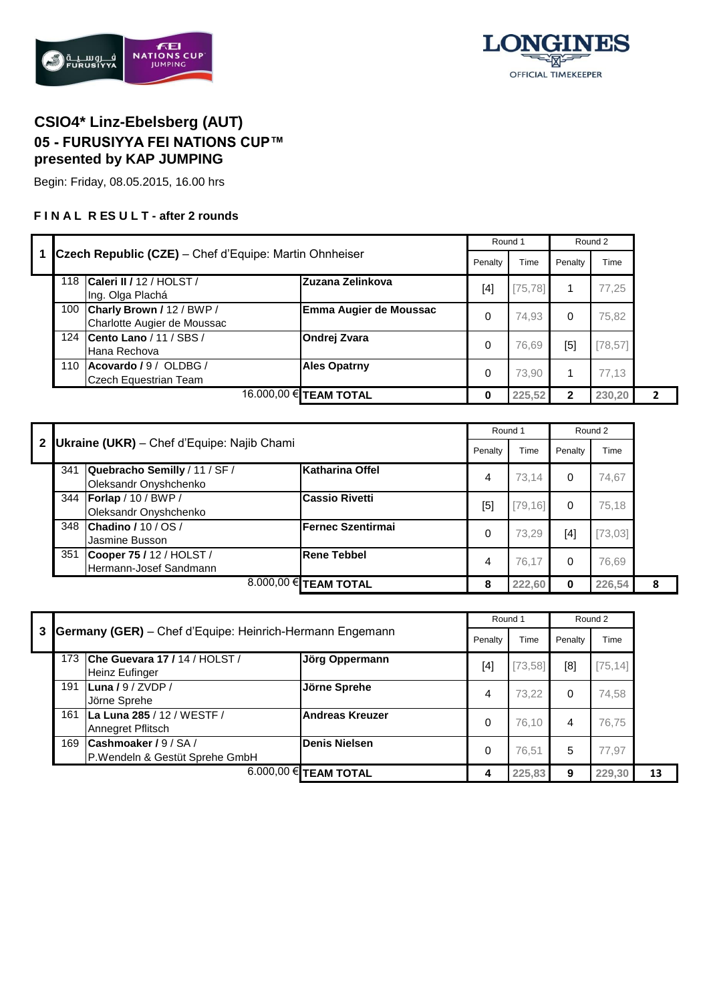



## **CSIO4\* Linz-Ebelsberg (AUT) 05 - FURUSIYYA FEI NATIONS CUP™ presented by KAP JUMPING**

Begin: Friday, 08.05.2015, 16.00 hrs

## **F I N A L R ES U L T - after 2 rounds**

|   |                                                                 |                               | Round 1       |          |                | Round 2  |              |
|---|-----------------------------------------------------------------|-------------------------------|---------------|----------|----------------|----------|--------------|
|   | Czech Republic (CZE) – Chef d'Equipe: Martin Ohnheiser          |                               | Penalty       | Time     | Penalty        | Time     |              |
|   | Caleri II / 12 / HOLST /<br>118<br>Ing. Olga Plachá             | Zuzana Zelinkova              | $[4]$         | [75, 78] | 1              | 77.25    |              |
|   | Charly Brown / 12 / BWP /<br>100<br>Charlotte Augier de Moussac | Emma Augier de Moussac        | $\Omega$      | 74,93    | 0              | 75,82    |              |
|   | 124 Cento Lano / 11 / SBS /<br>Hana Rechova                     | <b>Ondrej Zvara</b>           | 0             | 76,69    | [5]            | [78, 57] |              |
|   | 110 Acovardo / 9 / OLDBG /<br>Czech Equestrian Team             | <b>Ales Opatrny</b>           | 0             | 73,90    | 1              | 77,13    |              |
|   |                                                                 | 16.000,00 <b>€ TEAM TOTAL</b> | 0             | 225,52   | $\overline{2}$ | 230,20   | $\mathbf{2}$ |
|   |                                                                 |                               |               |          |                |          |              |
|   |                                                                 |                               | Round 1       |          |                | Round 2  |              |
| 2 | <b>Ukraine (UKR)</b> - Chef d'Equipe: Najib Chami               |                               | $\sim$ $\sim$ |          | $\sim$ $\sim$  |          |              |

|     | 2 <b>Ukraine (UKR)</b> – Chef d'Equipe: Najib Chami    |                          | Penalty | Time     | Penalty                                                                                                                                                          | Time     |   |
|-----|--------------------------------------------------------|--------------------------|---------|----------|------------------------------------------------------------------------------------------------------------------------------------------------------------------|----------|---|
| 341 | Quebracho Semilly / 11 / SF /<br>Oleksandr Onyshchenko | Katharina Offel          | 4       | 73.14    | 0                                                                                                                                                                | 74,67    |   |
| 344 | Forlap / 10 / BWP /<br>Oleksandr Onyshchenko           | <b>Cassio Rivetti</b>    | [5]     | [79, 16] | 0                                                                                                                                                                | 75,18    |   |
| 348 | Chadino / 10 / OS /<br>Jasmine Busson                  | <b>Fernec Szentirmai</b> | 0       | 73.29    | $[4] % \includegraphics[width=0.9\columnwidth]{images/TrDiM1.pdf} \caption{The figure shows the number of parameters in the left and right.} \label{TrDiM2.pdf}$ | [73, 03] |   |
| 351 | Cooper 75 / 12 / HOLST /<br>Hermann-Josef Sandmann     | <b>Rene Tebbel</b>       | 4       | 76.17    | 0                                                                                                                                                                | 76,69    |   |
|     |                                                        | 8.000,00 € TEAM TOTAL    | 8       | 222,60   | 0                                                                                                                                                                | 226,54   | 8 |

|   |     |                                                                 |                        | Round 1 |          |         | Round 2   |    |
|---|-----|-----------------------------------------------------------------|------------------------|---------|----------|---------|-----------|----|
| 3 |     | <b>Germany (GER)</b> – Chef d'Equipe: Heinrich-Hermann Engemann |                        | Penalty | Time     | Penalty | Time      |    |
|   | 173 | Che Guevara 17 / 14 / HOLST /<br><b>Heinz Eufinger</b>          | Jörg Oppermann         | [4]     | [73, 58] | [8]     | $75,14$ ] |    |
|   | 191 | Luna / 9 / ZVDP /<br>Jörne Sprehe                               | Jörne Sprehe           | 4       | 73.22    | 0       | 74,58     |    |
|   | 161 | La Luna 285 / 12 / WESTF /<br>Annegret Pflitsch                 | <b>Andreas Kreuzer</b> | 0       | 76.10    | 4       | 76.75     |    |
|   | 169 | <b>Cashmoaker / 9 / SA /</b><br>P.Wendeln & Gestüt Sprehe GmbH  | Denis Nielsen          | 0       | 76.51    | 5       | 77.97     |    |
|   |     |                                                                 | 6.000,00 € TEAM TOTAL  |         | 225,83   | 9       | 229,30    | 13 |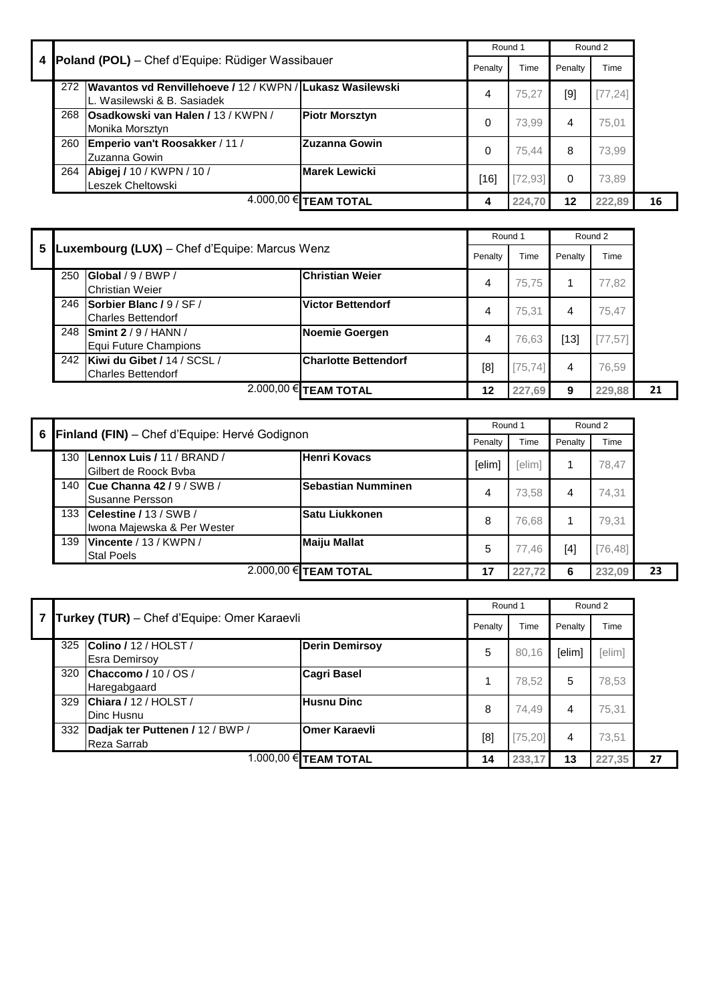| 4 |                       | <b>Poland (POL)</b> – Chef d'Equipe: Rüdiger Wassibauer                                      |                       | Round 1 |          | Round 2  |          |    |
|---|-----------------------|----------------------------------------------------------------------------------------------|-----------------------|---------|----------|----------|----------|----|
|   |                       |                                                                                              |                       | Penalty | Time     | Penalty  | Time     |    |
|   |                       | 272 Wavantos vd Renvillehoeve / 12 / KWPN / Lukasz Wasilewski<br>L. Wasilewski & B. Sasiadek |                       | 4       | 75.27    | [9]      | [77, 24] |    |
|   |                       | 268 Osadkowski van Halen / 13 / KWPN /<br>Monika Morsztyn                                    | <b>Piotr Morsztyn</b> | 0       | 73.99    | 4        | 75.01    |    |
|   | 260                   | Emperio van't Roosakker / 11 /<br>Zuzanna Gowin                                              | IZuzanna Gowin        | 0       | 75.44    | 8        | 73,99    |    |
|   | 264                   | Abigej / 10 / KWPN / 10 /<br>Leszek Cheltowski                                               | <b>Marek Lewicki</b>  | [16]    | [72, 93] | $\Omega$ | 73.89    |    |
|   | 4.000,00 € TEAM TOTAL |                                                                                              |                       | 4       | 224,70   | 12       | 222.89   | 16 |

|    |     |                                                          |                             | Round 1 |          |         | Round 2  |  |
|----|-----|----------------------------------------------------------|-----------------------------|---------|----------|---------|----------|--|
| 5. |     | Luxembourg (LUX) - Chef d'Equipe: Marcus Wenz            |                             | Penalty | Time     | Penalty | Time     |  |
|    | 250 | Global / 9 / BWP /<br><b>Christian Weier</b>             | <b>Christian Weier</b>      | 4       | 75.75    |         | 77,82    |  |
|    | 246 | Sorbier Blanc / 9 / SF /<br><b>Charles Bettendorf</b>    | <b>Victor Bettendorf</b>    | 4       | 75.31    | 4       | 75.47    |  |
|    |     | 248 Smint 2/9/HANN/<br>Equi Future Champions             | Noemie Goergen              | 4       | 76.63    | [13]    | [77, 57] |  |
|    | 242 | Kiwi du Gibet / 14 / SCSL /<br><b>Charles Bettendorf</b> | <b>Charlotte Bettendorf</b> | [8]     | [75, 74] | 4       | 76,59    |  |
|    |     |                                                          | 2.000,00 € TEAM TOTAL       | 12      | 227,69   | 9       | 229,88   |  |

| 6 I |     | Finland (FIN) - Chef d'Equipe: Hervé Godignon             | Round 1                 |         | Round 2 |         |          |    |
|-----|-----|-----------------------------------------------------------|-------------------------|---------|---------|---------|----------|----|
|     |     |                                                           |                         | Penalty | Time    | Penalty | Time     |    |
|     | 130 | Lennox Luis / 11 / BRAND /<br>Gilbert de Roock Byba       | Henri Kovacs            | [elim]  | [elim]  |         | 78.47    |    |
|     |     | 140 Cue Channa 42 / 9 / SWB /<br>Susanne Persson          | Sebastian Numminen      | 4       | 73.58   | 4       | 74.31    |    |
|     |     | 133 Celestine / 13 / SWB /<br>Iwona Majewska & Per Wester | Satu Liukkonen          | 8       | 76.68   |         | 79.31    |    |
|     | 139 | Vincente / 13 / KWPN /<br><b>Stal Poels</b>               | <b>Maiju Mallat</b>     | 5       | 77.46   | [4]     | [76, 48] |    |
|     |     |                                                           | $2.000,00$ € TEAM TOTAL | 17      | 227.72  | 6       | 232.09   | 23 |

|     | Turkey (TUR) - Chef d'Equipe: Omer Karaevli     |                       |         | Round 1  |         | Round 2 |    |
|-----|-------------------------------------------------|-----------------------|---------|----------|---------|---------|----|
|     |                                                 |                       | Penalty | Time     | Penalty | Time    |    |
| 325 | Colino / 12 / HOLST /<br><b>Esra Demirsov</b>   | <b>Derin Demirsoy</b> | 5       | 80,16    | [elim]  | [elim]  |    |
| 320 | Chaccomo / $10$ / OS /<br>Haregabgaard          | <b>Cagri Basel</b>    |         | 78,52    | 5       | 78,53   |    |
| 329 | Chiara / 12 / HOLST /<br>Dinc Husnu             | <b>Husnu Dinc</b>     | 8       | 74.49    | 4       | 75.31   |    |
| 332 | Dadjak ter Puttenen / 12 / BWP /<br>Reza Sarrab | <b>Omer Karaevli</b>  | [8]     | [75, 20] | 4       | 73.51   |    |
|     |                                                 | 1.000,00 € TEAM TOTAL | 14      | 233.17   | 13      | 227,35  | 27 |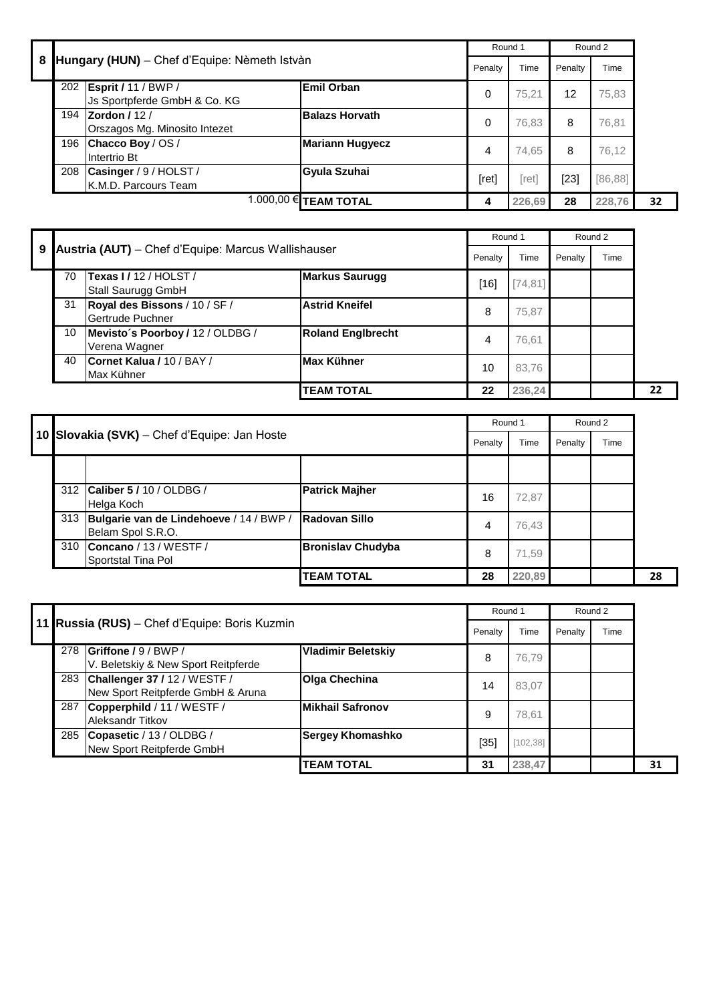|   |     |                                                                |                              | Round 1 |        | Round 2 |          |    |
|---|-----|----------------------------------------------------------------|------------------------------|---------|--------|---------|----------|----|
| 8 |     | Hungary (HUN) - Chef d'Equipe: Nèmeth Istvàn                   |                              | Penalty | Time   | Penalty | Time     |    |
|   |     | 202 <b>Esprit / 11 / BWP /</b><br>Js Sportpferde GmbH & Co. KG | Emil Orban                   | 0       | 75.21  | 12      | 75,83    |    |
|   |     | 194 <b>Zordon</b> / 12 /<br>Orszagos Mg. Minosito Intezet      | <b>Balazs Horvath</b>        | 0       | 76,83  | 8       | 76,81    |    |
|   |     | 196 Chacco Boy / OS /<br>Intertrio Bt                          | <b>Mariann Hugyecz</b>       | 4       | 74,65  | 8       | 76,12    |    |
|   | 208 | Casinger / 9 / HOLST /<br>K.M.D. Parcours Team                 | Gyula Szuhai                 | [ret]   | [ret]  | $[23]$  | [86, 88] |    |
|   |     |                                                                | 1.000,00 <b>€ TEAM TOTAL</b> | 4       | 226,69 | 28      | 228,76   | 32 |

|   |    |                                                     |                          |         | Round 1  | Round 2 |      |    |
|---|----|-----------------------------------------------------|--------------------------|---------|----------|---------|------|----|
| 9 |    | Austria (AUT) - Chef d'Equipe: Marcus Wallishauser  |                          | Penalty | Time     | Penalty | Time |    |
|   | 70 | <b>Texas I / 12 / HOLST /</b><br>Stall Saurugg GmbH | <b>Markus Saurugg</b>    | [16]    | [74, 81] |         |      |    |
|   | 31 | Royal des Bissons / 10 / SF /<br>Gertrude Puchner   | <b>Astrid Kneifel</b>    | 8       | 75,87    |         |      |    |
|   | 10 | Mevisto's Poorboy / 12 / OLDBG /<br>Verena Wagner   | <b>Roland Englbrecht</b> | 4       | 76,61    |         |      |    |
|   | 40 | Cornet Kalua / 10 / BAY /<br>Max Kühner             | Max Kühner               | 10      | 83.76    |         |      |    |
|   |    |                                                     | <b>TEAM TOTAL</b>        | 22      | 236,24   |         |      | 22 |

|     |                                                                  |                          | Round 1 |        |         | Round 2 |    |
|-----|------------------------------------------------------------------|--------------------------|---------|--------|---------|---------|----|
|     | 10 Slovakia (SVK) - Chef d'Equipe: Jan Hoste                     |                          | Penalty | Time   | Penalty | Time    |    |
|     |                                                                  |                          |         |        |         |         |    |
|     | 312 Caliber 5 / 10 / OLDBG /<br>Helga Koch                       | <b>Patrick Majher</b>    | 16      | 72,87  |         |         |    |
|     | 313 Bulgarie van de Lindehoeve / 14 / BWP /<br>Belam Spol S.R.O. | Radovan Sillo            | 4       | 76,43  |         |         |    |
| 310 | Concano / 13 / WESTF /<br>Sportstal Tina Pol                     | <b>Bronislav Chudyba</b> | 8       | 71.59  |         |         |    |
|     |                                                                  | <b>TEAM TOTAL</b>        | 28      | 220,89 |         |         | 28 |

|     |                                                                       |                           | Round 1 |           |         | Round 2 |    |
|-----|-----------------------------------------------------------------------|---------------------------|---------|-----------|---------|---------|----|
|     | 11 Russia (RUS) - Chef d'Equipe: Boris Kuzmin                         |                           | Penalty | Time      | Penalty | Time    |    |
| 278 | Griffone / 9 / BWP /<br>V. Beletskiy & New Sport Reitpferde           | <b>Vladimir Beletskiy</b> | 8       | 76.79     |         |         |    |
|     | 283 Challenger 37 / 12 / WESTF /<br>New Sport Reitpferde GmbH & Aruna | <b>Olga Chechina</b>      | 14      | 83,07     |         |         |    |
| 287 | Copperphild / 11 / WESTF /<br><b>Aleksandr Titkov</b>                 | Mikhail Safronov          | 9       | 78.61     |         |         |    |
| 285 | Copasetic / 13 / OLDBG /<br>New Sport Reitpferde GmbH                 | <b>Sergey Khomashko</b>   | $[35]$  | [102, 38] |         |         |    |
|     |                                                                       | <b>TEAM TOTAL</b>         | 31      | 238,47    |         |         | 31 |